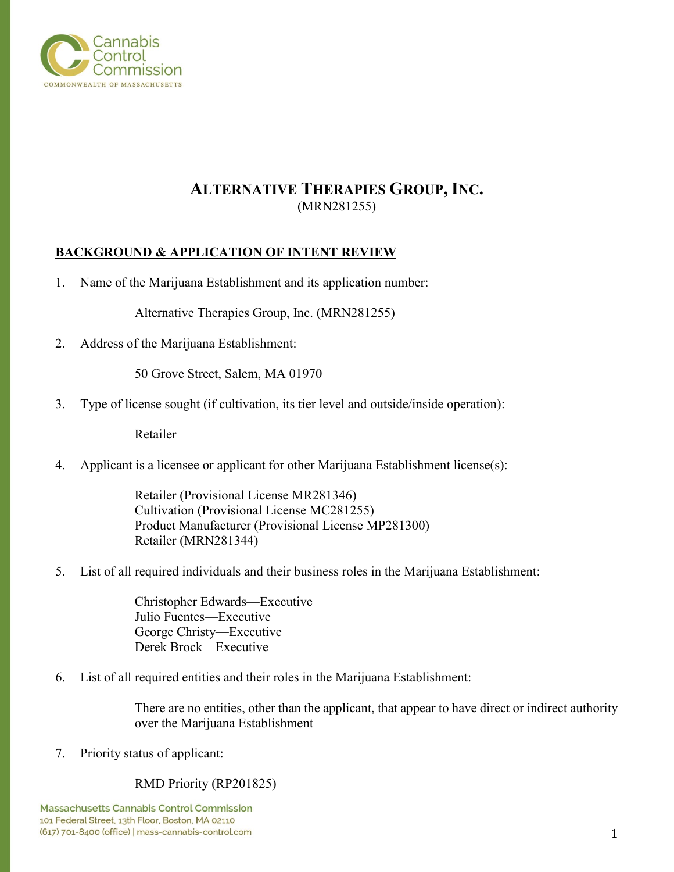

# **ALTERNATIVE THERAPIES GROUP, INC.** (MRN281255)

## **BACKGROUND & APPLICATION OF INTENT REVIEW**

1. Name of the Marijuana Establishment and its application number:

Alternative Therapies Group, Inc. (MRN281255)

2. Address of the Marijuana Establishment:

50 Grove Street, Salem, MA 01970

3. Type of license sought (if cultivation, its tier level and outside/inside operation):

Retailer

4. Applicant is a licensee or applicant for other Marijuana Establishment license(s):

Retailer (Provisional License MR281346) Cultivation (Provisional License MC281255) Product Manufacturer (Provisional License MP281300) Retailer (MRN281344)

5. List of all required individuals and their business roles in the Marijuana Establishment:

Christopher Edwards—Executive Julio Fuentes—Executive George Christy—Executive Derek Brock—Executive

6. List of all required entities and their roles in the Marijuana Establishment:

There are no entities, other than the applicant, that appear to have direct or indirect authority over the Marijuana Establishment

7. Priority status of applicant:

## RMD Priority (RP201825)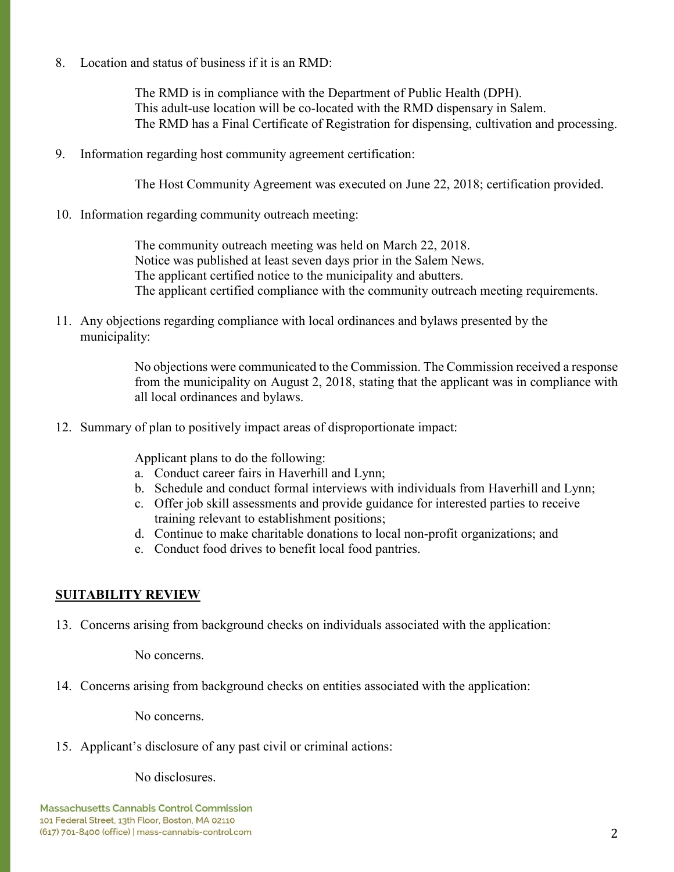8. Location and status of business if it is an RMD:

The RMD is in compliance with the Department of Public Health (DPH). This adult-use location will be co-located with the RMD dispensary in Salem. The RMD has a Final Certificate of Registration for dispensing, cultivation and processing.

9. Information regarding host community agreement certification:

The Host Community Agreement was executed on June 22, 2018; certification provided.

10. Information regarding community outreach meeting:

The community outreach meeting was held on March 22, 2018. Notice was published at least seven days prior in the Salem News. The applicant certified notice to the municipality and abutters. The applicant certified compliance with the community outreach meeting requirements.

11. Any objections regarding compliance with local ordinances and bylaws presented by the municipality:

> No objections were communicated to the Commission. The Commission received a response from the municipality on August 2, 2018, stating that the applicant was in compliance with all local ordinances and bylaws.

12. Summary of plan to positively impact areas of disproportionate impact:

Applicant plans to do the following:

- a. Conduct career fairs in Haverhill and Lynn;
- b. Schedule and conduct formal interviews with individuals from Haverhill and Lynn;
- c. Offer job skill assessments and provide guidance for interested parties to receive training relevant to establishment positions;
- d. Continue to make charitable donations to local non-profit organizations; and
- e. Conduct food drives to benefit local food pantries.

## **SUITABILITY REVIEW**

13. Concerns arising from background checks on individuals associated with the application:

No concerns.

14. Concerns arising from background checks on entities associated with the application:

No concerns.

15. Applicant's disclosure of any past civil or criminal actions:

No disclosures.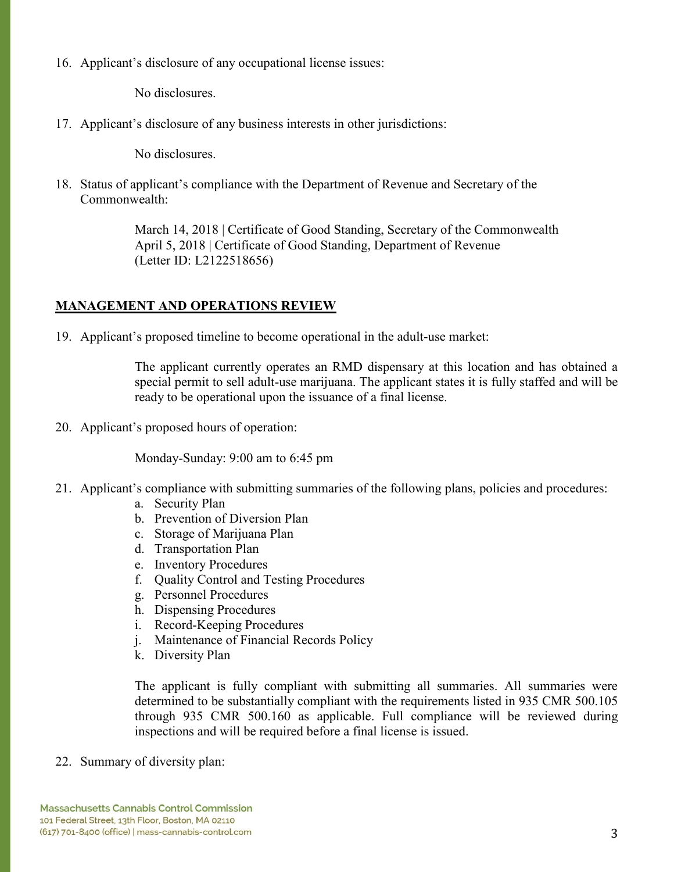16. Applicant's disclosure of any occupational license issues:

No disclosures.

17. Applicant's disclosure of any business interests in other jurisdictions:

No disclosures.

18. Status of applicant's compliance with the Department of Revenue and Secretary of the Commonwealth:

> March 14, 2018 | Certificate of Good Standing, Secretary of the Commonwealth April 5, 2018 | Certificate of Good Standing, Department of Revenue (Letter ID: L2122518656)

## **MANAGEMENT AND OPERATIONS REVIEW**

19. Applicant's proposed timeline to become operational in the adult-use market:

The applicant currently operates an RMD dispensary at this location and has obtained a special permit to sell adult-use marijuana. The applicant states it is fully staffed and will be ready to be operational upon the issuance of a final license.

20. Applicant's proposed hours of operation:

Monday-Sunday: 9:00 am to 6:45 pm

- 21. Applicant's compliance with submitting summaries of the following plans, policies and procedures:
	- a. Security Plan
	- b. Prevention of Diversion Plan
	- c. Storage of Marijuana Plan
	- d. Transportation Plan
	- e. Inventory Procedures
	- f. Quality Control and Testing Procedures
	- g. Personnel Procedures
	- h. Dispensing Procedures
	- i. Record-Keeping Procedures
	- j. Maintenance of Financial Records Policy
	- k. Diversity Plan

The applicant is fully compliant with submitting all summaries. All summaries were determined to be substantially compliant with the requirements listed in 935 CMR 500.105 through 935 CMR 500.160 as applicable. Full compliance will be reviewed during inspections and will be required before a final license is issued.

22. Summary of diversity plan: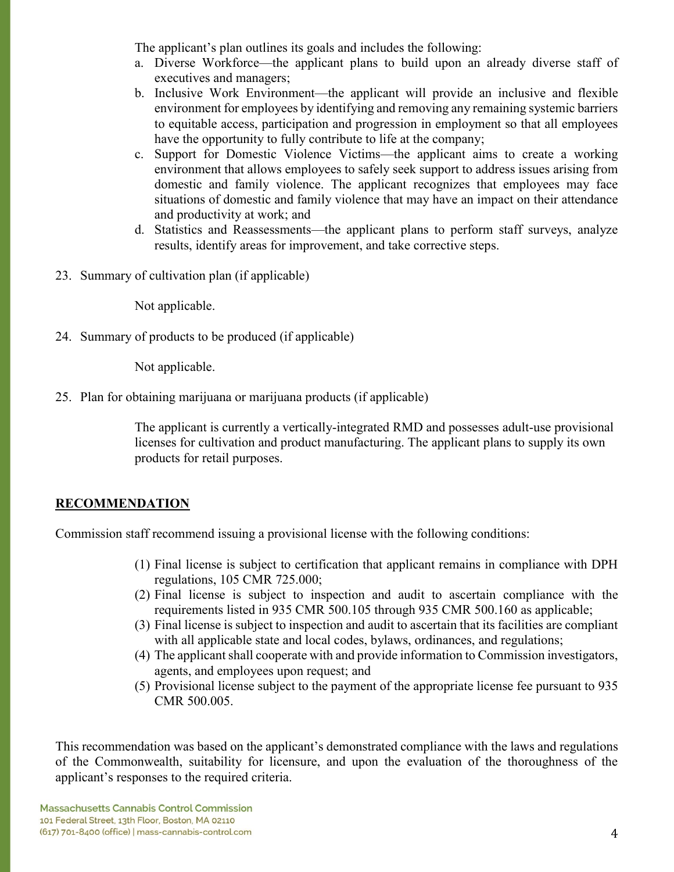The applicant's plan outlines its goals and includes the following:

- a. Diverse Workforce—the applicant plans to build upon an already diverse staff of executives and managers;
- b. Inclusive Work Environment—the applicant will provide an inclusive and flexible environment for employees by identifying and removing any remaining systemic barriers to equitable access, participation and progression in employment so that all employees have the opportunity to fully contribute to life at the company;
- c. Support for Domestic Violence Victims—the applicant aims to create a working environment that allows employees to safely seek support to address issues arising from domestic and family violence. The applicant recognizes that employees may face situations of domestic and family violence that may have an impact on their attendance and productivity at work; and
- d. Statistics and Reassessments—the applicant plans to perform staff surveys, analyze results, identify areas for improvement, and take corrective steps.
- 23. Summary of cultivation plan (if applicable)

Not applicable.

24. Summary of products to be produced (if applicable)

Not applicable.

25. Plan for obtaining marijuana or marijuana products (if applicable)

The applicant is currently a vertically-integrated RMD and possesses adult-use provisional licenses for cultivation and product manufacturing. The applicant plans to supply its own products for retail purposes.

## **RECOMMENDATION**

Commission staff recommend issuing a provisional license with the following conditions:

- (1) Final license is subject to certification that applicant remains in compliance with DPH regulations, 105 CMR 725.000;
- (2) Final license is subject to inspection and audit to ascertain compliance with the requirements listed in 935 CMR 500.105 through 935 CMR 500.160 as applicable;
- (3) Final license is subject to inspection and audit to ascertain that its facilities are compliant with all applicable state and local codes, bylaws, ordinances, and regulations;
- (4) The applicant shall cooperate with and provide information to Commission investigators, agents, and employees upon request; and
- (5) Provisional license subject to the payment of the appropriate license fee pursuant to 935 CMR 500.005.

This recommendation was based on the applicant's demonstrated compliance with the laws and regulations of the Commonwealth, suitability for licensure, and upon the evaluation of the thoroughness of the applicant's responses to the required criteria.